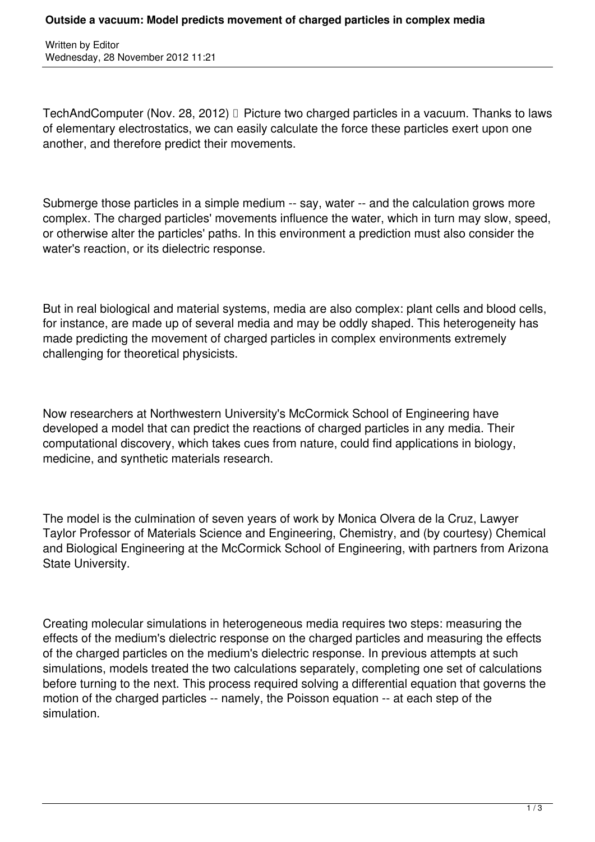Written by Editor Wednesday, 28 November 2012 11:21

TechAndComputer (Nov. 28, 2012) Picture two charged particles in a vacuum. Thanks to laws of elementary electrostatics, we can easily calculate the force these particles exert upon one another, and therefore predict their movements.

Submerge those particles in a simple medium -- say, water -- and the calculation grows more complex. The charged particles' movements influence the water, which in turn may slow, speed, or otherwise alter the particles' paths. In this environment a prediction must also consider the water's reaction, or its dielectric response.

But in real biological and material systems, media are also complex: plant cells and blood cells, for instance, are made up of several media and may be oddly shaped. This heterogeneity has made predicting the movement of charged particles in complex environments extremely challenging for theoretical physicists.

Now researchers at Northwestern University's McCormick School of Engineering have developed a model that can predict the reactions of charged particles in any media. Their computational discovery, which takes cues from nature, could find applications in biology, medicine, and synthetic materials research.

The model is the culmination of seven years of work by Monica Olvera de la Cruz, Lawyer Taylor Professor of Materials Science and Engineering, Chemistry, and (by courtesy) Chemical and Biological Engineering at the McCormick School of Engineering, with partners from Arizona State University.

Creating molecular simulations in heterogeneous media requires two steps: measuring the effects of the medium's dielectric response on the charged particles and measuring the effects of the charged particles on the medium's dielectric response. In previous attempts at such simulations, models treated the two calculations separately, completing one set of calculations before turning to the next. This process required solving a differential equation that governs the motion of the charged particles -- namely, the Poisson equation -- at each step of the simulation.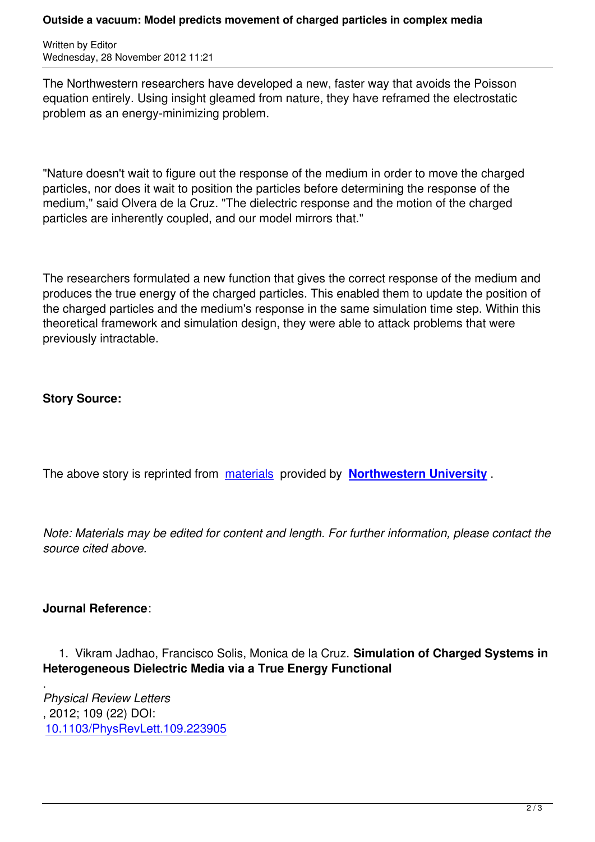Written by Editor and Editor and Editor and Editor and Editor and Editor and Editor and Editor and Editor and

The Northwestern researchers have developed a new, faster way that avoids the Poisson equation entirely. Using insight gleamed from nature, they have reframed the electrostatic problem as an energy-minimizing problem.

"Nature doesn't wait to figure out the response of the medium in order to move the charged particles, nor does it wait to position the particles before determining the response of the medium," said Olvera de la Cruz. "The dielectric response and the motion of the charged particles are inherently coupled, and our model mirrors that."

The researchers formulated a new function that gives the correct response of the medium and produces the true energy of the charged particles. This enabled them to update the position of the charged particles and the medium's response in the same simulation time step. Within this theoretical framework and simulation design, they were able to attack problems that were previously intractable.

## **Story Source:**

The above story is reprinted from materials provided by **Northwestern University** .

*Note: Materials may be edited for [content an](http://www.mccormick.northwestern.edu/news/articles/2012/11/olvera-de-la-cruz-predicting-movement-of-charged-particles-in-complex-media.html)d length. For [further information, please](http://www.northwestern.edu) contact the source cited above.*

## **Journal Reference**:

 1. Vikram Jadhao, Francisco Solis, Monica de la Cruz. **Simulation of Charged Systems in Heterogeneous Dielectric Media via a True Energy Functional**

. *Physical Review Letters* , 2012; 109 (22) DOI: 10.1103/PhysRevLett.109.223905